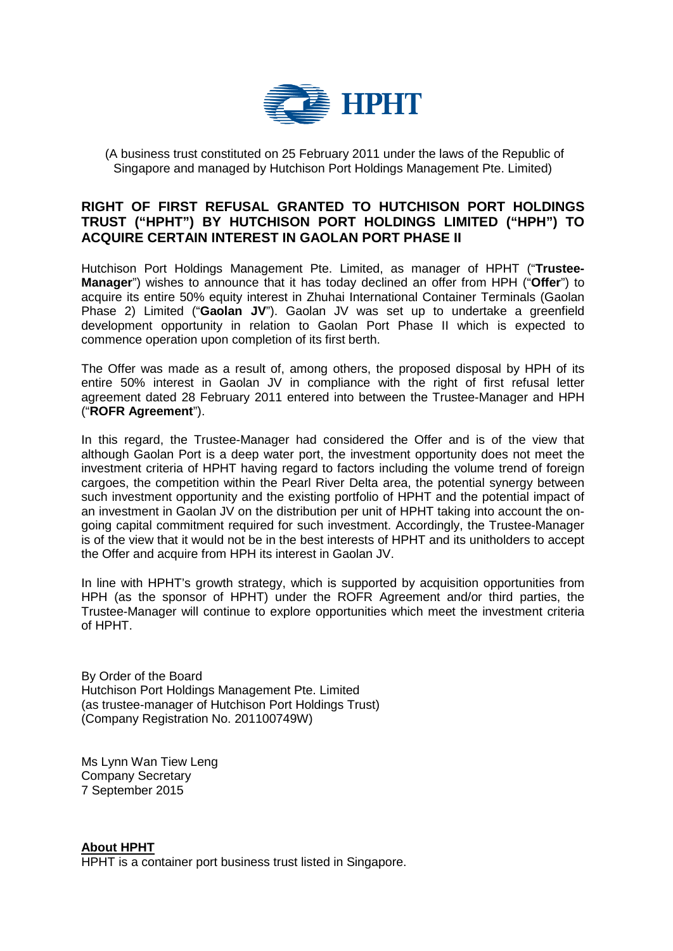

(A business trust constituted on 25 February 2011 under the laws of the Republic of Singapore and managed by Hutchison Port Holdings Management Pte. Limited)

## **RIGHT OF FIRST REFUSAL GRANTED TO HUTCHISON PORT HOLDINGS TRUST ("HPHT") BY HUTCHISON PORT HOLDINGS LIMITED ("HPH") TO ACQUIRE CERTAIN INTEREST IN GAOLAN PORT PHASE II**

Hutchison Port Holdings Management Pte. Limited, as manager of HPHT ("**Trustee-Manager**") wishes to announce that it has today declined an offer from HPH ("**Offer**") to acquire its entire 50% equity interest in Zhuhai International Container Terminals (Gaolan Phase 2) Limited ("**Gaolan JV**"). Gaolan JV was set up to undertake a greenfield development opportunity in relation to Gaolan Port Phase II which is expected to commence operation upon completion of its first berth.

The Offer was made as a result of, among others, the proposed disposal by HPH of its entire 50% interest in Gaolan JV in compliance with the right of first refusal letter agreement dated 28 February 2011 entered into between the Trustee-Manager and HPH ("**ROFR Agreement**").

In this regard, the Trustee-Manager had considered the Offer and is of the view that although Gaolan Port is a deep water port, the investment opportunity does not meet the investment criteria of HPHT having regard to factors including the volume trend of foreign cargoes, the competition within the Pearl River Delta area, the potential synergy between such investment opportunity and the existing portfolio of HPHT and the potential impact of an investment in Gaolan JV on the distribution per unit of HPHT taking into account the ongoing capital commitment required for such investment. Accordingly, the Trustee-Manager is of the view that it would not be in the best interests of HPHT and its unitholders to accept the Offer and acquire from HPH its interest in Gaolan JV.

In line with HPHT's growth strategy, which is supported by acquisition opportunities from HPH (as the sponsor of HPHT) under the ROFR Agreement and/or third parties, the Trustee-Manager will continue to explore opportunities which meet the investment criteria of HPHT.

By Order of the Board Hutchison Port Holdings Management Pte. Limited (as trustee-manager of Hutchison Port Holdings Trust) (Company Registration No. 201100749W)

Ms Lynn Wan Tiew Leng Company Secretary 7 September 2015

**About HPHT**

HPHT is a container port business trust listed in Singapore.